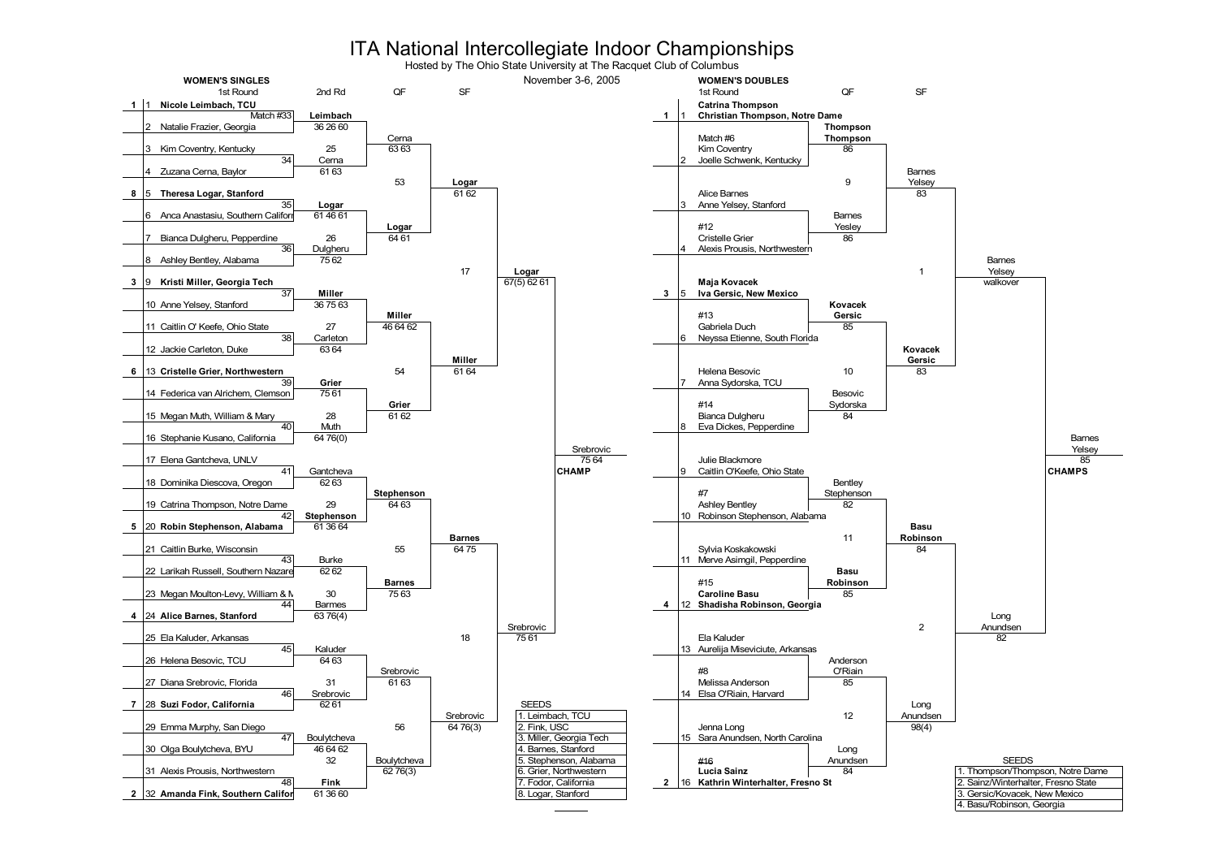## ITA National Intercollegiate Indoor Championships